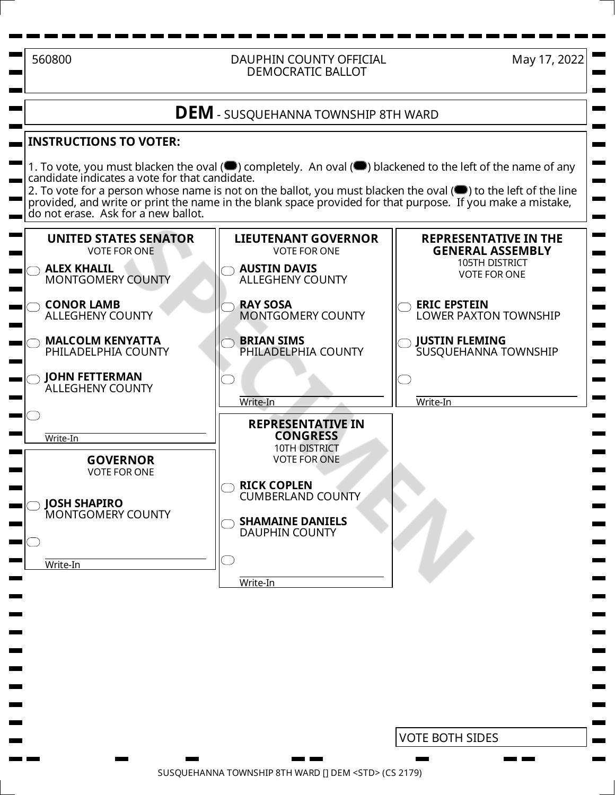## 560800 DAUPHIN COUNTY OFFICIAL DEMOCRATIC BALLOT

May 17, 2022

## **DEM** - SUSQUEHANNA TOWNSHIP 8TH WARD

## **INSTRUCTIONS TO VOTER:**

1. To vote, you must blacken the oval ( $\blacksquare$ ) completely. An oval ( $\blacksquare$ ) blackened to the left of the name of any candidate indicates a vote for that candidate.

2. To vote for a person whose name is not on the ballot, you must blacken the oval  $($ , to the left of the line provided, and write or print the name in the blank space provided for that purpose. If you make a mistake, do not erase. Ask for a new ballot.